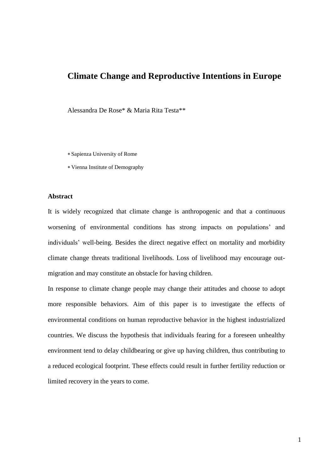# **Climate Change and Reproductive Intentions in Europe**

Alessandra De Rose\* & Maria Rita Testa\*\*

- Sapienza University of Rome
- Vienna Institute of Demography

### **Abstract**

It is widely recognized that climate change is anthropogenic and that a continuous worsening of environmental conditions has strong impacts on populations' and individuals' well-being. Besides the direct negative effect on mortality and morbidity climate change threats traditional livelihoods. Loss of livelihood may encourage outmigration and may constitute an obstacle for having children.

In response to climate change people may change their attitudes and choose to adopt more responsible behaviors. Aim of this paper is to investigate the effects of environmental conditions on human reproductive behavior in the highest industrialized countries. We discuss the hypothesis that individuals fearing for a foreseen unhealthy environment tend to delay childbearing or give up having children, thus contributing to a reduced ecological footprint. These effects could result in further fertility reduction or limited recovery in the years to come.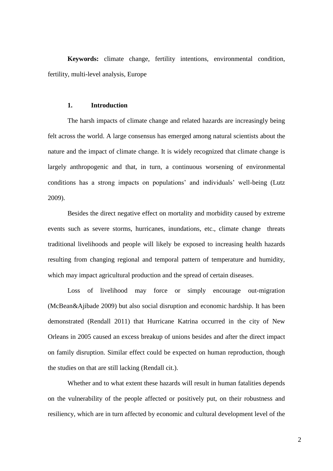**Keywords:** climate change, fertility intentions, environmental condition, fertility, multi-level analysis, Europe

#### **1. Introduction**

The harsh impacts of climate change and related hazards are increasingly being felt across the world. A large consensus has emerged among natural scientists about the nature and the impact of climate change. It is widely recognized that climate change is largely anthropogenic and that, in turn, a continuous worsening of environmental conditions has a strong impacts on populations' and individuals' well-being (Lutz 2009).

Besides the direct negative effect on mortality and morbidity caused by extreme events such as severe storms, hurricanes, inundations, etc., climate change threats traditional livelihoods and people will likely be exposed to increasing health hazards resulting from changing regional and temporal pattern of temperature and humidity, which may impact agricultural production and the spread of certain diseases.

Loss of livelihood may force or simply encourage out-migration (McBean&Ajibade 2009) but also social disruption and economic hardship. It has been demonstrated (Rendall 2011) that Hurricane Katrina occurred in the city of New Orleans in 2005 caused an excess breakup of unions besides and after the direct impact on family disruption. Similar effect could be expected on human reproduction, though the studies on that are still lacking (Rendall cit.).

Whether and to what extent these hazards will result in human fatalities depends on the vulnerability of the people affected or positively put, on their robustness and resiliency, which are in turn affected by economic and cultural development level of the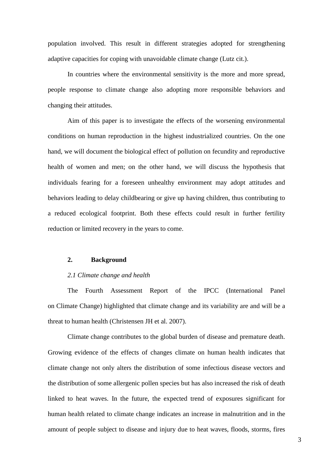population involved. This result in different strategies adopted for strengthening adaptive capacities for coping with unavoidable climate change (Lutz cit.).

In countries where the environmental sensitivity is the more and more spread, people response to climate change also adopting more responsible behaviors and changing their attitudes.

Aim of this paper is to investigate the effects of the worsening environmental conditions on human reproduction in the highest industrialized countries. On the one hand, we will document the biological effect of pollution on fecundity and reproductive health of women and men; on the other hand, we will discuss the hypothesis that individuals fearing for a foreseen unhealthy environment may adopt attitudes and behaviors leading to delay childbearing or give up having children, thus contributing to a reduced ecological footprint. Both these effects could result in further fertility reduction or limited recovery in the years to come.

### **2. Background**

#### *2.1 Climate change and health*

The Fourth Assessment Report of the IPCC (International Panel on Climate Change) highlighted that climate change and its variability are and will be a threat to human health (Christensen JH et al. 2007).

Climate change contributes to the global burden of disease and premature death. Growing evidence of the effects of changes climate on human health indicates that climate change not only alters the distribution of some infectious disease vectors and the distribution of some allergenic pollen species but has also increased the risk of death linked to heat waves. In the future, the expected trend of exposures significant for human health related to climate change indicates an increase in malnutrition and in the amount of people subject to disease and injury due to heat waves, floods, storms, fires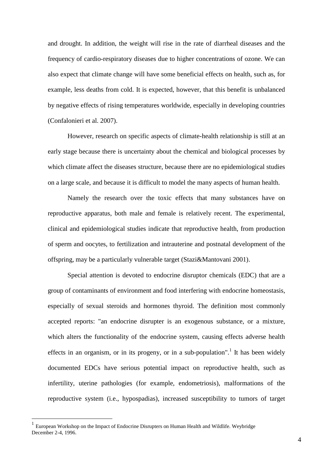and drought. In addition, the weight will rise in the rate of diarrheal diseases and the frequency of cardio-respiratory diseases due to higher concentrations of ozone. We can also expect that climate change will have some beneficial effects on health, such as, for example, less deaths from cold. It is expected, however, that this benefit is unbalanced by negative effects of rising temperatures worldwide, especially in developing countries (Confalonieri et al. 2007).

However, research on specific aspects of climate-health relationship is still at an early stage because there is uncertainty about the chemical and biological processes by which climate affect the diseases structure, because there are no epidemiological studies on a large scale, and because it is difficult to model the many aspects of human health.

Namely the research over the toxic effects that many substances have on reproductive apparatus, both male and female is relatively recent. The experimental, clinical and epidemiological studies indicate that reproductive health, from production of sperm and oocytes, to fertilization and intrauterine and postnatal development of the offspring, may be a particularly vulnerable target (Stazi&Mantovani 2001).

Special attention is devoted to endocrine disruptor chemicals (EDC) that are a group of contaminants of environment and food interfering with endocrine homeostasis, especially of sexual steroids and hormones thyroid. The definition most commonly accepted reports: "an endocrine disrupter is an exogenous substance, or a mixture, which alters the functionality of the endocrine system, causing effects adverse health effects in an organism, or in its progeny, or in a sub-population".<sup>1</sup> It has been widely documented EDCs have serious potential impact on reproductive health, such as infertility, uterine pathologies (for example, endometriosis), malformations of the reproductive system (i.e., hypospadias), increased susceptibility to tumors of target

1

<sup>1</sup> European Workshop on the Impact of Endocrine Disrupters on Human Health and Wildlife. Weybridge December 2-4, 1996.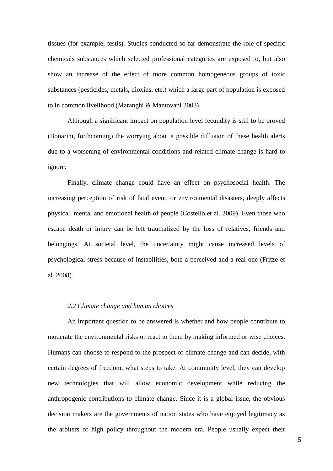tissues (for example, testis). Studies conducted so far demonstrate the role of specific chemicals substances which selected professional categories are exposed to, but also show an increase of the effect of more common homogeneous groups of toxic substances (pesticides, metals, dioxins, etc.) which a large part of population is exposed to in common livelihood (Maranghi & Mantovani 2003).

Although a significant impact on population level fecundity is still to be proved (Bonarini, forthcoming) the worrying about a possible diffusion of these health alerts due to a worsening of environmental conditions and related climate change is hard to ignore.

Finally, climate change could have an effect on psychosocial health. The increasing perception of risk of fatal event, or environmental disasters, deeply affects physical, mental and emotional health of people (Costello et al. 2009). Even those who escape death or injury can be left traumatized by the loss of relatives, friends and belongings. At societal level, the uncertainty might cause increased levels of psychological stress because of instabilities, both a perceived and a real one (Fritze et al. 2008).

### *2.2 Climate change and human choices*

An important question to be answered is whether and how people contribute to moderate the environmental risks or react to them by making informed or wise choices. Humans can choose to respond to the prospect of climate change and can decide, with certain degrees of freedom, what steps to take. At community level, they can develop new technologies that will allow economic development while reducing the anthropogenic contributions to climate change. Since it is a global issue, the obvious decision makers are the governments of nation states who have enjoyed legitimacy as the arbiters of high policy throughout the modern era. People usually expect their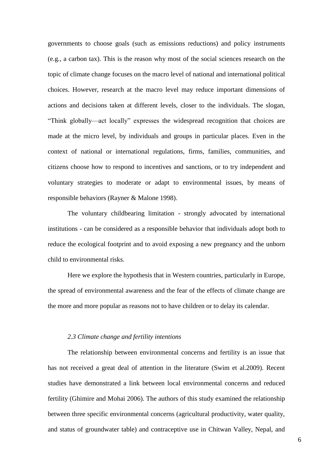governments to choose goals (such as emissions reductions) and policy instruments (e.g., a carbon tax). This is the reason why most of the social sciences research on the topic of climate change focuses on the macro level of national and international political choices. However, research at the macro level may reduce important dimensions of actions and decisions taken at different levels, closer to the individuals. The slogan, "Think globally—act locally" expresses the widespread recognition that choices are made at the micro level, by individuals and groups in particular places. Even in the context of national or international regulations, firms, families, communities, and citizens choose how to respond to incentives and sanctions, or to try independent and voluntary strategies to moderate or adapt to environmental issues, by means of responsible behaviors (Rayner & Malone 1998).

The voluntary childbearing limitation - strongly advocated by international institutions - can be considered as a responsible behavior that individuals adopt both to reduce the ecological footprint and to avoid exposing a new pregnancy and the unborn child to environmental risks.

Here we explore the hypothesis that in Western countries, particularly in Europe, the spread of environmental awareness and the fear of the effects of climate change are the more and more popular as reasons not to have children or to delay its calendar.

### *2.3 Climate change and fertility intentions*

The relationship between environmental concerns and fertility is an issue that has not received a great deal of attention in the literature (Swim et al.2009). Recent studies have demonstrated a link between local environmental concerns and reduced fertility (Ghimire and Mohai 2006). The authors of this study examined the relationship between three specific environmental concerns (agricultural productivity, water quality, and status of groundwater table) and contraceptive use in Chitwan Valley, Nepal, and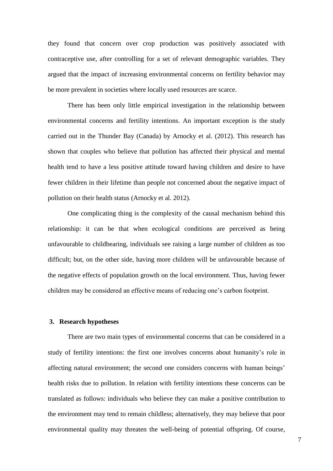they found that concern over crop production was positively associated with contraceptive use, after controlling for a set of relevant demographic variables. They argued that the impact of increasing environmental concerns on fertility behavior may be more prevalent in societies where locally used resources are scarce.

There has been only little empirical investigation in the relationship between environmental concerns and fertility intentions. An important exception is the study carried out in the Thunder Bay (Canada) by Arnocky et al. (2012). This research has shown that couples who believe that pollution has affected their physical and mental health tend to have a less positive attitude toward having children and desire to have fewer children in their lifetime than people not concerned about the negative impact of pollution on their health status (Arnocky et al. 2012).

One complicating thing is the complexity of the causal mechanism behind this relationship: it can be that when ecological conditions are perceived as being unfavourable to childbearing, individuals see raising a large number of children as too difficult; but, on the other side, having more children will be unfavourable because of the negative effects of population growth on the local environment. Thus, having fewer children may be considered an effective means of reducing one's carbon footprint.

### **3. Research hypotheses**

There are two main types of environmental concerns that can be considered in a study of fertility intentions: the first one involves concerns about humanity's role in affecting natural environment; the second one considers concerns with human beings' health risks due to pollution. In relation with fertility intentions these concerns can be translated as follows: individuals who believe they can make a positive contribution to the environment may tend to remain childless; alternatively, they may believe that poor environmental quality may threaten the well-being of potential offspring. Of course,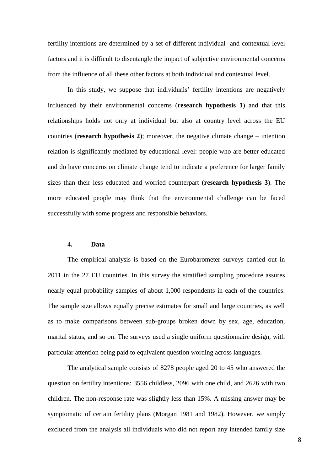fertility intentions are determined by a set of different individual- and contextual-level factors and it is difficult to disentangle the impact of subjective environmental concerns from the influence of all these other factors at both individual and contextual level.

In this study, we suppose that individuals' fertility intentions are negatively influenced by their environmental concerns (**research hypothesis 1**) and that this relationships holds not only at individual but also at country level across the EU countries (**research hypothesis 2**); moreover, the negative climate change – intention relation is significantly mediated by educational level: people who are better educated and do have concerns on climate change tend to indicate a preference for larger family sizes than their less educated and worried counterpart (**research hypothesis 3**). The more educated people may think that the environmental challenge can be faced successfully with some progress and responsible behaviors.

### **4. Data**

The empirical analysis is based on the Eurobarometer surveys carried out in 2011 in the 27 EU countries. In this survey the stratified sampling procedure assures nearly equal probability samples of about 1,000 respondents in each of the countries. The sample size allows equally precise estimates for small and large countries, as well as to make comparisons between sub-groups broken down by sex, age, education, marital status, and so on. The surveys used a single uniform questionnaire design, with particular attention being paid to equivalent question wording across languages.

The analytical sample consists of 8278 people aged 20 to 45 who answered the question on fertility intentions: 3556 childless, 2096 with one child, and 2626 with two children. The non-response rate was slightly less than 15%. A missing answer may be symptomatic of certain fertility plans (Morgan 1981 and 1982). However, we simply excluded from the analysis all individuals who did not report any intended family size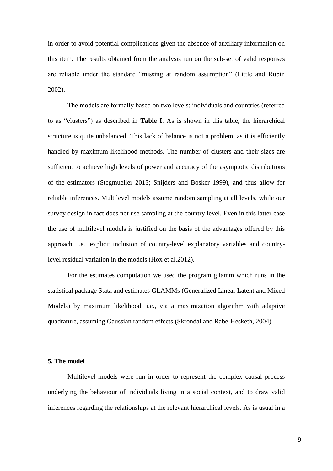in order to avoid potential complications given the absence of auxiliary information on this item. The results obtained from the analysis run on the sub-set of valid responses are reliable under the standard "missing at random assumption" (Little and Rubin 2002).

The models are formally based on two levels: individuals and countries (referred to as "clusters") as described in **Table I**. As is shown in this table, the hierarchical structure is quite unbalanced. This lack of balance is not a problem, as it is efficiently handled by maximum-likelihood methods. The number of clusters and their sizes are sufficient to achieve high levels of power and accuracy of the asymptotic distributions of the estimators (Stegmueller 2013; Snijders and Bosker 1999), and thus allow for reliable inferences. Multilevel models assume random sampling at all levels, while our survey design in fact does not use sampling at the country level. Even in this latter case the use of multilevel models is justified on the basis of the advantages offered by this approach, i.e., explicit inclusion of country-level explanatory variables and countrylevel residual variation in the models (Hox et al.2012).

For the estimates computation we used the program gllamm which runs in the statistical package Stata and estimates GLAMMs (Generalized Linear Latent and Mixed Models) by maximum likelihood, i.e., via a maximization algorithm with adaptive quadrature, assuming Gaussian random effects (Skrondal and Rabe-Hesketh, 2004).

### **5. The model**

Multilevel models were run in order to represent the complex causal process underlying the behaviour of individuals living in a social context, and to draw valid inferences regarding the relationships at the relevant hierarchical levels. As is usual in a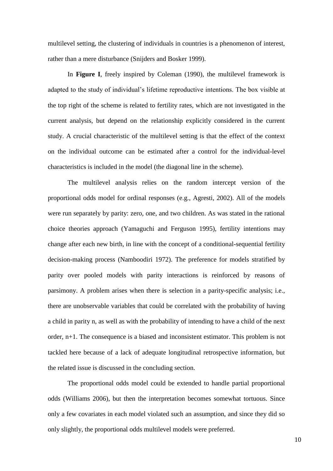multilevel setting, the clustering of individuals in countries is a phenomenon of interest, rather than a mere disturbance (Snijders and Bosker 1999).

In **Figure I**, freely inspired by Coleman (1990), the multilevel framework is adapted to the study of individual's lifetime reproductive intentions. The box visible at the top right of the scheme is related to fertility rates, which are not investigated in the current analysis, but depend on the relationship explicitly considered in the current study. A crucial characteristic of the multilevel setting is that the effect of the context on the individual outcome can be estimated after a control for the individual-level characteristics is included in the model (the diagonal line in the scheme).

The multilevel analysis relies on the random intercept version of the proportional odds model for ordinal responses (e.g., Agresti, 2002). All of the models were run separately by parity: zero, one, and two children. As was stated in the rational choice theories approach (Yamaguchi and Ferguson 1995), fertility intentions may change after each new birth, in line with the concept of a conditional-sequential fertility decision-making process (Namboodiri 1972). The preference for models stratified by parity over pooled models with parity interactions is reinforced by reasons of parsimony. A problem arises when there is selection in a parity-specific analysis; i.e., there are unobservable variables that could be correlated with the probability of having a child in parity n, as well as with the probability of intending to have a child of the next order, n+1. The consequence is a biased and inconsistent estimator. This problem is not tackled here because of a lack of adequate longitudinal retrospective information, but the related issue is discussed in the concluding section.

The proportional odds model could be extended to handle partial proportional odds (Williams 2006), but then the interpretation becomes somewhat tortuous. Since only a few covariates in each model violated such an assumption, and since they did so only slightly, the proportional odds multilevel models were preferred.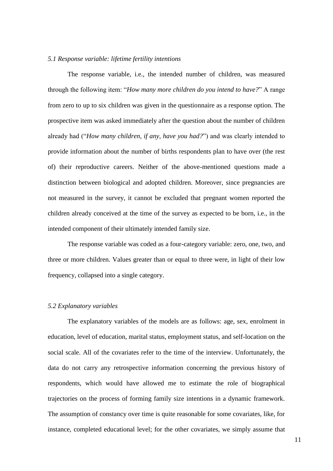### *5.1 Response variable: lifetime fertility intentions*

The response variable, i.e., the intended number of children, was measured through the following item: "*How many more children do you intend to have?*" A range from zero to up to six children was given in the questionnaire as a response option. The prospective item was asked immediately after the question about the number of children already had ("*How many children, if any, have you had?*") and was clearly intended to provide information about the number of births respondents plan to have over (the rest of) their reproductive careers. Neither of the above-mentioned questions made a distinction between biological and adopted children. Moreover, since pregnancies are not measured in the survey, it cannot be excluded that pregnant women reported the children already conceived at the time of the survey as expected to be born, i.e., in the intended component of their ultimately intended family size.

The response variable was coded as a four-category variable: zero, one, two, and three or more children. Values greater than or equal to three were, in light of their low frequency, collapsed into a single category.

### *5.2 Explanatory variables*

The explanatory variables of the models are as follows: age, sex, enrolment in education, level of education, marital status, employment status, and self-location on the social scale. All of the covariates refer to the time of the interview. Unfortunately, the data do not carry any retrospective information concerning the previous history of respondents, which would have allowed me to estimate the role of biographical trajectories on the process of forming family size intentions in a dynamic framework. The assumption of constancy over time is quite reasonable for some covariates, like, for instance, completed educational level; for the other covariates, we simply assume that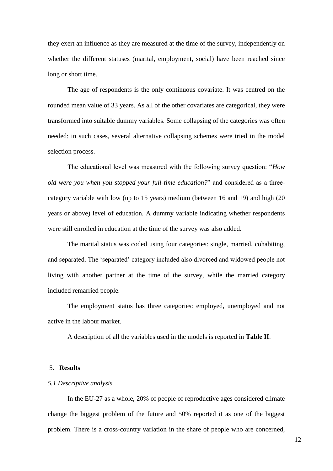they exert an influence as they are measured at the time of the survey, independently on whether the different statuses (marital, employment, social) have been reached since long or short time.

The age of respondents is the only continuous covariate. It was centred on the rounded mean value of 33 years. As all of the other covariates are categorical, they were transformed into suitable dummy variables. Some collapsing of the categories was often needed: in such cases, several alternative collapsing schemes were tried in the model selection process.

The educational level was measured with the following survey question: "*How old were you when you stopped your full-time education?*" and considered as a threecategory variable with low (up to 15 years) medium (between 16 and 19) and high (20 years or above) level of education. A dummy variable indicating whether respondents were still enrolled in education at the time of the survey was also added.

The marital status was coded using four categories: single, married, cohabiting, and separated. The 'separated' category included also divorced and widowed people not living with another partner at the time of the survey, while the married category included remarried people.

The employment status has three categories: employed, unemployed and not active in the labour market.

A description of all the variables used in the models is reported in **Table II**.

### 5. **Results**

### *5.1 Descriptive analysis*

In the EU-27 as a whole, 20% of people of reproductive ages considered climate change the biggest problem of the future and 50% reported it as one of the biggest problem. There is a cross-country variation in the share of people who are concerned,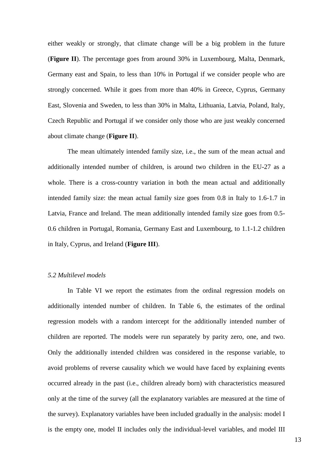either weakly or strongly, that climate change will be a big problem in the future (**Figure II**). The percentage goes from around 30% in Luxembourg, Malta, Denmark, Germany east and Spain, to less than 10% in Portugal if we consider people who are strongly concerned. While it goes from more than 40% in Greece, Cyprus, Germany East, Slovenia and Sweden, to less than 30% in Malta, Lithuania, Latvia, Poland, Italy, Czech Republic and Portugal if we consider only those who are just weakly concerned about climate change (**Figure II**).

The mean ultimately intended family size, i.e., the sum of the mean actual and additionally intended number of children, is around two children in the EU-27 as a whole. There is a cross-country variation in both the mean actual and additionally intended family size: the mean actual family size goes from 0.8 in Italy to 1.6-1.7 in Latvia, France and Ireland. The mean additionally intended family size goes from 0.5- 0.6 children in Portugal, Romania, Germany East and Luxembourg, to 1.1-1.2 children in Italy, Cyprus, and Ireland (**Figure III**).

### *5.2 Multilevel models*

In Table VI we report the estimates from the ordinal regression models on additionally intended number of children. In Table 6, the estimates of the ordinal regression models with a random intercept for the additionally intended number of children are reported. The models were run separately by parity zero, one, and two. Only the additionally intended children was considered in the response variable, to avoid problems of reverse causality which we would have faced by explaining events occurred already in the past (i.e., children already born) with characteristics measured only at the time of the survey (all the explanatory variables are measured at the time of the survey). Explanatory variables have been included gradually in the analysis: model I is the empty one, model II includes only the individual-level variables, and model III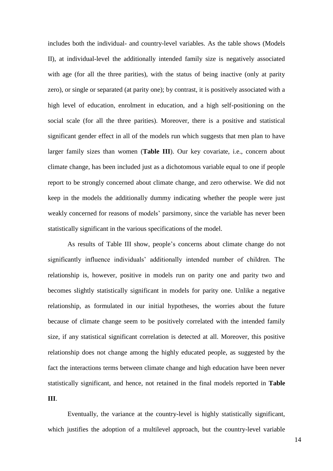includes both the individual- and country-level variables. As the table shows (Models II), at individual-level the additionally intended family size is negatively associated with age (for all the three parities), with the status of being inactive (only at parity zero), or single or separated (at parity one); by contrast, it is positively associated with a high level of education, enrolment in education, and a high self-positioning on the social scale (for all the three parities). Moreover, there is a positive and statistical significant gender effect in all of the models run which suggests that men plan to have larger family sizes than women (**Table III**). Our key covariate, i.e., concern about climate change, has been included just as a dichotomous variable equal to one if people report to be strongly concerned about climate change, and zero otherwise. We did not keep in the models the additionally dummy indicating whether the people were just weakly concerned for reasons of models' parsimony, since the variable has never been statistically significant in the various specifications of the model.

As results of Table III show, people's concerns about climate change do not significantly influence individuals' additionally intended number of children. The relationship is, however, positive in models run on parity one and parity two and becomes slightly statistically significant in models for parity one. Unlike a negative relationship, as formulated in our initial hypotheses, the worries about the future because of climate change seem to be positively correlated with the intended family size, if any statistical significant correlation is detected at all. Moreover, this positive relationship does not change among the highly educated people, as suggested by the fact the interactions terms between climate change and high education have been never statistically significant, and hence, not retained in the final models reported in **Table III**.

Eventually, the variance at the country-level is highly statistically significant, which justifies the adoption of a multilevel approach, but the country-level variable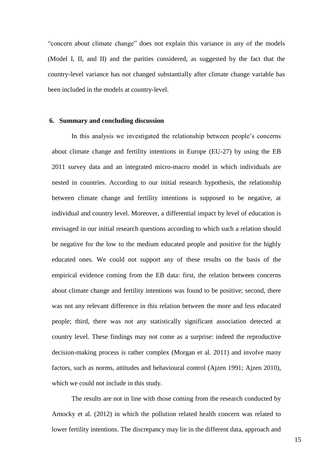"concern about climate change" does not explain this variance in any of the models (Model I, II, and II) and the parities considered, as suggested by the fact that the country-level variance has not changed substantially after climate change variable has been included in the models at country-level.

### **6. Summary and concluding discussion**

In this analysis we investigated the relationship between people's concerns about climate change and fertility intentions in Europe (EU-27) by using the EB 2011 survey data and an integrated micro-macro model in which individuals are nested in countries. According to our initial research hypothesis, the relationship between climate change and fertility intentions is supposed to be negative, at individual and country level. Moreover, a differential impact by level of education is envisaged in our initial research questions according to which such a relation should be negative for the low to the medium educated people and positive for the highly educated ones. We could not support any of these results on the basis of the empirical evidence coming from the EB data: first, the relation between concerns about climate change and fertility intentions was found to be positive; second, there was not any relevant difference in this relation between the more and less educated people; third, there was not any statistically significant association detected at country level. These findings may not come as a surprise: indeed the reproductive decision-making process is rather complex (Morgan et al. 2011) and involve many factors, such as norms, attitudes and behavioural control (Ajzen 1991; Ajzen 2010), which we could not include in this study.

The results are not in line with those coming from the research conducted by Arnocky et al. (2012) in which the pollution related health concern was related to lower fertility intentions. The discrepancy may lie in the different data, approach and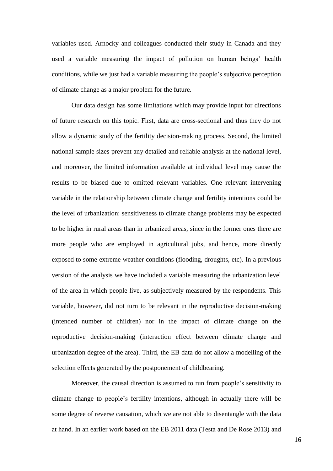variables used. Arnocky and colleagues conducted their study in Canada and they used a variable measuring the impact of pollution on human beings' health conditions, while we just had a variable measuring the people's subjective perception of climate change as a major problem for the future.

Our data design has some limitations which may provide input for directions of future research on this topic. First, data are cross-sectional and thus they do not allow a dynamic study of the fertility decision-making process. Second, the limited national sample sizes prevent any detailed and reliable analysis at the national level, and moreover, the limited information available at individual level may cause the results to be biased due to omitted relevant variables. One relevant intervening variable in the relationship between climate change and fertility intentions could be the level of urbanization: sensitiveness to climate change problems may be expected to be higher in rural areas than in urbanized areas, since in the former ones there are more people who are employed in agricultural jobs, and hence, more directly exposed to some extreme weather conditions (flooding, droughts, etc). In a previous version of the analysis we have included a variable measuring the urbanization level of the area in which people live, as subjectively measured by the respondents. This variable, however, did not turn to be relevant in the reproductive decision-making (intended number of children) nor in the impact of climate change on the reproductive decision-making (interaction effect between climate change and urbanization degree of the area). Third, the EB data do not allow a modelling of the selection effects generated by the postponement of childbearing.

Moreover, the causal direction is assumed to run from people's sensitivity to climate change to people's fertility intentions, although in actually there will be some degree of reverse causation, which we are not able to disentangle with the data at hand. In an earlier work based on the EB 2011 data (Testa and De Rose 2013) and

16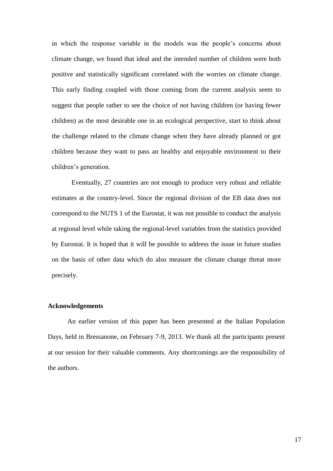in which the response variable in the models was the people's concerns about climate change, we found that ideal and the intended number of children were both positive and statistically significant correlated with the worries on climate change. This early finding coupled with those coming from the current analysis seem to suggest that people rather to see the choice of not having children (or having fewer children) as the most desirable one in an ecological perspective, start to think about the challenge related to the climate change when they have already planned or got children because they want to pass an healthy and enjoyable environment to their children's generation.

Eventually, 27 countries are not enough to produce very robust and reliable estimates at the country-level. Since the regional division of the EB data does not correspond to the NUTS 1 of the Eurostat, it was not possible to conduct the analysis at regional level while taking the regional-level variables from the statistics provided by Eurostat. It is hoped that it will be possible to address the issue in future studies on the basis of other data which do also measure the climate change threat more precisely.

### **Acknowledgements**

An earlier version of this paper has been presented at the Italian Population Days, held in Bressanone, on February 7-9, 2013. We thank all the participants present at our session for their valuable comments. Any shortcomings are the responsibility of the authors.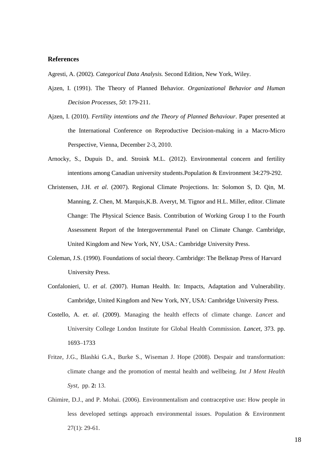#### **References**

Agresti, A. (2002). *Categorical Data Analysis.* Second Edition, New York, Wiley.

- Ajzen, I. (1991). The Theory of Planned Behavior. *Organizational Behavior and Human Decision Processes, 50*: 179-211.
- Ajzen, I. (2010). *Fertility intentions and the Theory of Planned Behaviour*. Paper presented at the International Conference on Reproductive Decision-making in a Macro-Micro Perspective, Vienna, December 2-3, 2010.
- Arnocky, S., Dupuis D., and. Stroink M.L. (2012). Environmental concern and fertility intentions among Canadian university students.Population & Environment 34:279-292.
- Christensen, J.H. *et al*. (2007). Regional Climate Projections. In: Solomon S, D. Qin, M. Manning, Z. Chen, M. Marquis,K.B. Averyt, M. Tignor and H.L. Miller, editor. Climate Change: The Physical Science Basis. Contribution of Working Group I to the Fourth Assessment Report of the Intergovernmental Panel on Climate Change. Cambridge, United Kingdom and New York, NY, USA.: Cambridge University Press.
- Coleman, J.S. (1990). Foundations of social theory. Cambridge: The Belknap Press of Harvard University Press.
- Confalonieri, U. *et al*. (2007). Human Health. In: Impacts, Adaptation and Vulnerability. Cambridge, United Kingdom and New York, NY, USA: Cambridge University Press.
- Costello, A. *et. al*. (2009). Managing the health effects of climate change. *Lancet* and University College London Institute for Global Health Commission. *Lancet,* 373. pp. 1693–1733
- Fritze, J.G., Blashki G.A., Burke S., Wiseman J. Hope (2008). Despair and transformation: climate change and the promotion of mental health and wellbeing. *Int J Ment Health Syst,* pp. **2:** 13.
- Ghimire, D.J., and P. Mohai. (2006). Environmentalism and contraceptive use: How people in less developed settings approach environmental issues. Population & Environment  $27(1)$ : 29-61.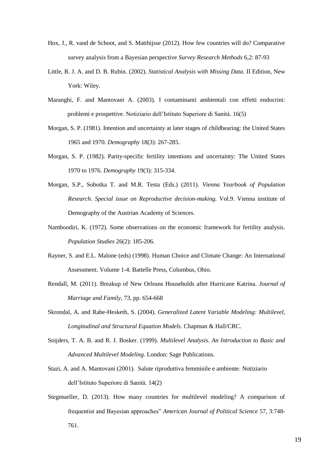- Hox, J., R. vand de Schoot, and S. Matthijsse (2012). How few countries will do? Comparative survey analysis from a Bayesian perspective *Survey Research Methods* 6,2: 87-93
- Little, R. J. A. and D. B. Rubin. (2002). *Statistical Analysis with Missing Data*. II Edition, New York: Wiley.
- Maranghi, F. and Mantovani A. (2003). I contaminanti ambientali con effetti endocrini: problemi e prospettive. Notiziario dell'Istituto Superiore di Sanità. 16(5)
- Morgan, S. P. (1981). Intention and uncertainty at later stages of childbearing: the United States 1965 and 1970. *Demography* 18(3): 267-285.
- Morgan, S. P. (1982). Parity-specific fertility intentions and uncertainty: The United States 1970 to 1976. *Demography* 19(3): 315-334.
- Morgan, S.P., Sobotka T. and M.R. Testa (Eds.) (2011). *Vienna Yearbook of Population Research. Special issue on Reproductive decision-making.* Vol.9. Vienna institute of Demography of the Austrian Academy of Sciences.
- Namboodiri, K. (1972). Some observations on the economic framework for fertility analysis. *Population Studies* 26(2): 185-206.
- Rayner, S. and E.L. Malone (eds) (1998). Human Choice and Climate Change: An International Assessment. Volume 1-4. Battelle Press, Columbus, Ohio.
- Rendall, M. (2011). Breakup of New Orleans Households after Hurricane Katrina. *Journal of Marriage and Family*, 73, pp. 654-668
- Skrondal, A. and Rabe-Hesketh, S. (2004). *Generalized Latent Variable Modeling: Multilevel, Longitudinal and Structural Equation Models*. Chapman & Hall/CRC.
- Snijders, T. A. B. and R. J. Bosker. (1999). *Multilevel Analysis. An Introduction to Basic and Advanced Multilevel Modeling*. London: Sage Publications.
- Stazi, A. and A. Mantovani (2001). Salute riproduttiva femminile e ambiente. Notiziario dell'Istituto Superiore di Sanità. 14(2)
- Stegmueller, D. (2013). How many countries for multilevel modeling? A comparison of frequentist and Bayesian approaches" *American Journal of Political Science* 57, 3:748- 761.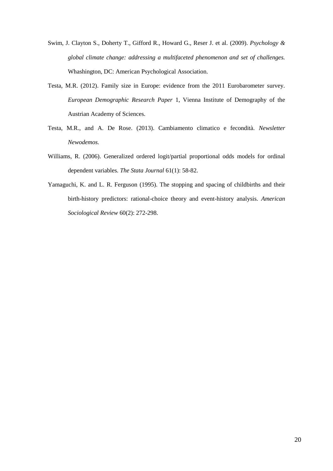- Swim, J. Clayton S., Doherty T., Gifford R., Howard G., Reser J. et al. (2009). *Psychology & global climate change: addressing a multifaceted phenomenon and set of challenges.* Whashington, DC: American Psychological Association.
- Testa, M.R. (2012). Family size in Europe: evidence from the 2011 Eurobarometer survey. *European Demographic Research Paper* 1, Vienna Institute of Demography of the Austrian Academy of Sciences.
- Testa, M.R., and A. De Rose. (2013). Cambiamento climatico e fecondità. *Newsletter Newodemos.*
- Williams, R. (2006). Generalized ordered logit/partial proportional odds models for ordinal dependent variables. *The Stata Journal* 61(1): 58-82.
- Yamaguchi, K. and L. R. Ferguson (1995). The stopping and spacing of childbirths and their birth-history predictors: rational-choice theory and event-history analysis. *American Sociological Review* 60(2): 272-298.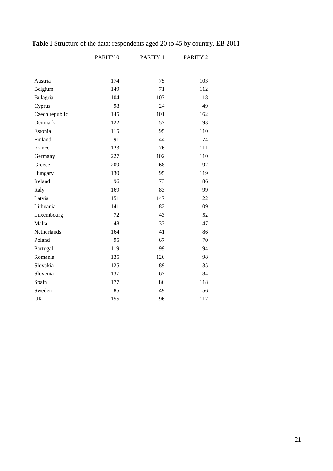|                | PARITY 0 | PARITY 1 | PARITY <sub>2</sub> |
|----------------|----------|----------|---------------------|
|                |          |          |                     |
| Austria        | 174      | 75       | 103                 |
| Belgium        | 149      | 71       | 112                 |
| Bulagria       | 104      | 107      | 118                 |
| Cyprus         | 98       | 24       | 49                  |
| Czech republic | 145      | 101      | 162                 |
| Denmark        | 122      | 57       | 93                  |
| Estonia        | 115      | 95       | 110                 |
| Finland        | 91       | 44       | 74                  |
| France         | 123      | 76       | 111                 |
| Germany        | 227      | 102      | 110                 |
| Greece         | 209      | 68       | 92                  |
| Hungary        | 130      | 95       | 119                 |
| Ireland        | 96       | 73       | 86                  |
| Italy          | 169      | 83       | 99                  |
| Latvia         | 151      | 147      | 122                 |
| Lithuania      | 141      | 82       | 109                 |
| Luxembourg     | 72       | 43       | 52                  |
| Malta          | 48       | 33       | 47                  |
| Netherlands    | 164      | 41       | 86                  |
| Poland         | 95       | 67       | 70                  |
| Portugal       | 119      | 99       | 94                  |
| Romania        | 135      | 126      | 98                  |
| Slovakia       | 125      | 89       | 135                 |
| Slovenia       | 137      | 67       | 84                  |
| Spain          | 177      | 86       | 118                 |
| Sweden         | 85       | 49       | 56                  |
| UK             | 155      | 96       | 117                 |

**Table I** Structure of the data: respondents aged 20 to 45 by country. EB 2011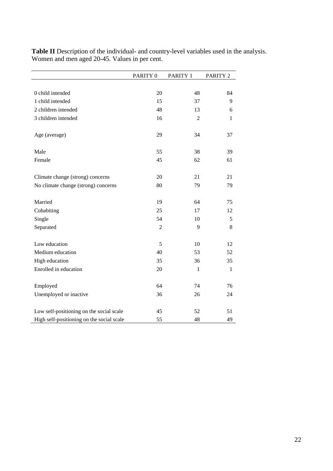|                                           | PARITY 0       | PARITY 1       | PARITY 2     |
|-------------------------------------------|----------------|----------------|--------------|
|                                           |                |                |              |
| 0 child intended                          | 20             | 48             | 84           |
| 1 child intended                          | 15             | 37             | 9            |
| 2 children intended                       | 48             | 13             | 6            |
| 3 children intended                       | 16             | $\overline{2}$ | 1            |
| Age (average)                             | 29             | 34             | 37           |
| Male                                      | 55             | 38             | 39           |
| Female                                    | 45             | 62             | 61           |
| Climate change (strong) concerns          | 20             | 21             | 21           |
| No climate change (strong) concerns       | 80             | 79             | 79           |
| Married                                   | 19             | 64             | 75           |
| Cohabiting                                | 25             | 17             | 12           |
| Single                                    | 54             | 10             | 5            |
| Separated                                 | $\overline{2}$ | 9              | 8            |
| Low education                             | 5              | 10             | 12           |
| Medium education                          | 40             | 53             | 52           |
| High education                            | 35             | 36             | 35           |
| Enrolled in education                     | 20             | 1              | $\mathbf{1}$ |
| Employed                                  | 64             | 74             | 76           |
| Unemployed or inactive                    | 36             | 26             | 24           |
| Low self-positioning on the social scale  | 45             | 52             | 51           |
| High self-positioning on the social scale | 55             | 48             | 49           |

**Table II** Description of the individual- and country-level variables used in the analysis. Women and men aged 20-45. Values in per cent.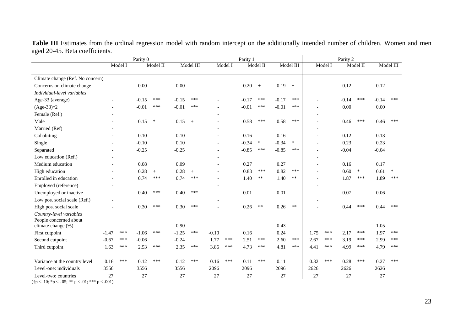|                                                   | Parity 0                 |         |         |          | Parity 1 |           |                          |         | Parity 2 |            |         |           |                          |         |         |          |         |           |
|---------------------------------------------------|--------------------------|---------|---------|----------|----------|-----------|--------------------------|---------|----------|------------|---------|-----------|--------------------------|---------|---------|----------|---------|-----------|
|                                                   |                          | Model I |         | Model II |          | Model III |                          | Model I |          | Model II   |         | Model III |                          | Model I |         | Model II |         | Model III |
| Climate change (Ref. No concern)                  |                          |         |         |          |          |           |                          |         |          |            |         |           |                          |         |         |          |         |           |
| Concerns on climate change                        |                          |         | 0.00    |          | 0.00     |           |                          |         | 0.20     | $+$        | 0.19    | $+$       | $\overline{a}$           |         | 0.12    |          | 0.12    |           |
| Individual-level variables                        |                          |         |         |          |          |           |                          |         |          |            |         |           |                          |         |         |          |         |           |
| Age-33 (average)                                  | $\overline{\phantom{a}}$ |         | $-0.15$ | ***      | $-0.15$  | ***       |                          |         | $-0.17$  | ***        | $-0.17$ | ***       | $\overline{\phantom{a}}$ |         | $-0.14$ | ***      | $-0.14$ | ***       |
| $(Age-33)^{2}$                                    |                          |         | $-0.01$ | ***      | $-0.01$  | ***       | $\overline{\phantom{a}}$ |         | $-0.01$  | ***        | $-0.01$ | ***       | $\overline{a}$           |         | 0.00    |          | 0.00    |           |
| Female (Ref.)                                     |                          |         |         |          |          |           |                          |         |          |            |         |           |                          |         |         |          |         |           |
| Male                                              |                          |         | 0.15    | $\ast$   | 0.15     | $+$       |                          |         | 0.58     | ***        | 0.58    | ***       | $\overline{\phantom{a}}$ |         | 0.46    | ***      | 0.46    | ***       |
| Married (Ref)                                     |                          |         |         |          |          |           |                          |         |          |            |         |           |                          |         |         |          |         |           |
| Cohabiting                                        |                          |         | 0.10    |          | 0.10     |           |                          |         | 0.16     |            | 0.16    |           | $\overline{\phantom{a}}$ |         | 0.12    |          | 0.13    |           |
| Single                                            |                          |         | $-0.10$ |          | 0.10     |           | $\overline{\phantom{a}}$ |         | $-0.34$  | $\ast$     | $-0.34$ | $\ast$    | $\overline{\phantom{a}}$ |         | 0.23    |          | 0.23    |           |
| Separated                                         |                          |         | $-0.25$ |          | $-0.25$  |           | $\overline{a}$           |         | $-0.85$  | ***        | $-0.85$ | ***       | $\overline{a}$           |         | $-0.04$ |          | $-0.04$ |           |
| Low education (Ref.)                              |                          |         |         |          |          |           | $\overline{\phantom{a}}$ |         |          |            |         |           | $\overline{\phantom{a}}$ |         |         |          |         |           |
| Medium education                                  | $\overline{\phantom{a}}$ |         | 0.08    |          | 0.09     |           |                          |         | 0.27     |            | 0.27    |           | $\qquad \qquad -$        |         | 0.16    |          | 0.17    |           |
| High education                                    | $\overline{\phantom{a}}$ |         | 0.28    | $+$      | 0.28     | $+$       |                          |         | 0.83     | ***        | 0.82    | ***       | $\overline{\phantom{a}}$ |         | 0.60    | $\ast$   | 0.61    | $\ast$    |
| Enrolled in education                             |                          |         | 0.74    | ***      | 0.74     | ***       | $\overline{a}$           |         | 1.40     | $***$      | 1.40    | $***$     | $\equiv$                 |         | 1.87    | ***      | 1.89    | ***       |
| Employed (reference)                              |                          |         |         |          |          |           |                          |         |          |            |         |           | $\overline{\phantom{a}}$ |         |         |          |         |           |
| Unemployed or inactive                            |                          |         | $-0.40$ | ***      | $-0.40$  | ***       |                          |         | 0.01     |            | 0.01    |           |                          |         | 0.07    |          | 0.06    |           |
| Low pos. social scale (Ref.)                      | $\overline{\phantom{a}}$ |         |         |          |          |           |                          |         |          |            |         |           | $\overline{\phantom{a}}$ |         |         |          |         |           |
| High pos. social scale                            | $\overline{\phantom{a}}$ |         | 0.30    | ***      | 0.30     | ***       |                          |         | 0.26     | $\ast\ast$ | 0.26    | $**$      |                          |         | 0.44    | ***      | 0.44    | ***       |
| Country-level variables<br>People concerned about |                          |         |         |          |          |           |                          |         |          |            |         |           |                          |         |         |          |         |           |
| climate change (%)                                |                          |         |         |          | $-0.90$  |           |                          |         |          |            | 0.43    |           |                          |         |         |          | $-1.05$ |           |
| First cutpoint                                    | $-1.47$                  | ***     | $-1.06$ | ***      | $-1.25$  | ***       | $-0.10$                  |         | 0.16     |            | 0.24    |           | 1.75                     | ***     | 2.17    | ***      | 1.97    | ***       |
| Second cutpoint                                   | $-0.67$                  | ***     | $-0.06$ |          | $-0.24$  |           | 1.77                     | ***     | 2.51     | ***        | 2.60    | ***       | 2.67                     | ***     | 3.19    | ***      | 2.99    | ***       |
| Third cutpoint                                    | 1.63                     | ***     | 2.53    | ***      | 2.35     | ***       | 3.86                     | ***     | 4.73     | ***        | 4.81    | ***       | 4.41                     | ***     | 4.99    | ***      | 4.79    | ***       |
| Variance at the country level                     | 0.16                     | ***     | 0.12    | ***      | 0.12     | ***       | 0.16                     | ***     | 0.11     | ***        | 0.11    |           | 0.32                     | ***     | 0.28    | ***      | 0.27    | ***       |
| Level-one: individuals                            | 3556                     |         | 3556    |          | 3556     |           | 2096                     |         | 2096     |            | 2096    |           | 2626                     |         | 2626    |          | 2626    |           |
| Level-two: countries                              | 27                       |         | 27      |          | 27       |           | 27                       |         | 27       |            | 27      |           | 27                       |         | 27      |          | 27      |           |

**Table III** Estimates from the ordinal regression model with random intercept on the additionally intended number of children. Women and men aged 20-45. Beta coefficients.

 $\frac{24}{(\frac{1}{7}p \leq 0.10; \frac{1}{7}p \leq 0.05; \frac{1}{7}p \leq 0.01; \frac{1}{7}p \leq 0.001)}$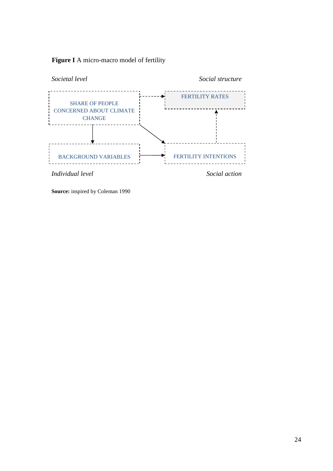## **Figure I** A micro-macro model of fertility



**Source:** inspired by Coleman 1990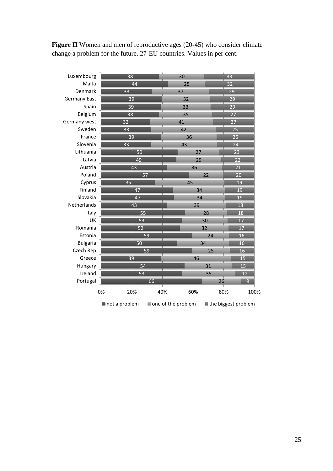Figure II Women and men of reproductive ages (20-45) who consider climate change a problem for the future. 27-EU countries. Values in per cent.

| Luxembourg          | $\overline{38}$            |                 |     | 30                        |    | $\overline{33}$ |                     |      |  |
|---------------------|----------------------------|-----------------|-----|---------------------------|----|-----------------|---------------------|------|--|
| Malta               |                            | $\overline{44}$ |     | 25                        |    | $\overline{32}$ |                     |      |  |
| Denmark             | 33                         |                 |     | 37                        |    |                 | 29                  |      |  |
| <b>Germany East</b> | $\overline{39}$            |                 |     | 32                        |    |                 | 29                  |      |  |
| Spain               | $\overline{39}$            |                 |     | 33                        |    | 29              |                     |      |  |
| Belgium             | $\overline{38}$            |                 |     | 35                        |    |                 | 27                  |      |  |
| Germany west        | $\overline{32}$            |                 |     | 41                        |    | $\overline{27}$ |                     |      |  |
| Sweden              | 33                         |                 |     | 42                        |    |                 | 25                  |      |  |
| France              | 39                         |                 |     | 36                        |    | 25              |                     |      |  |
| Slovenia            | $\overline{33}$            |                 |     | 43                        |    |                 | $\overline{24}$     |      |  |
| Lithuania           |                            | 50              |     |                           | 27 |                 | 23                  |      |  |
| Latvia              |                            | 49              |     |                           | 29 |                 | $\overline{22}$     |      |  |
| Austria             |                            | 43              |     | 36                        |    |                 | $\overline{21}$     |      |  |
| Poland              |                            | 57              |     |                           | 22 |                 | 20                  |      |  |
| Cyprus              | $\overline{35}$            |                 |     | 45                        |    |                 | 19                  |      |  |
| Finland             |                            | 47              |     |                           | 34 |                 | 19                  |      |  |
| Slovakia            |                            | 47              |     |                           | 34 |                 | 19                  |      |  |
| Netherlands         |                            | $\overline{43}$ |     |                           | 39 |                 | 18                  |      |  |
| Italy               |                            | $\overline{55}$ |     |                           | 28 |                 | 18                  |      |  |
| UK                  |                            | $\overline{53}$ |     |                           | 30 |                 | 17                  |      |  |
| Romania             |                            | $\overline{52}$ |     |                           | 32 |                 | 17                  |      |  |
| Estonia             |                            | 59              |     |                           | 24 |                 | 16                  |      |  |
| Bulgaria            |                            | $\overline{50}$ |     |                           | 34 |                 | 16                  |      |  |
| Czech Rep           |                            | 59              |     |                           | 25 |                 | 16                  |      |  |
| Greece              | 39                         |                 |     |                           | 46 |                 | 15                  |      |  |
| Hungary             |                            | 54              |     | 31                        |    |                 | 15                  |      |  |
| Ireland             |                            | $\overline{53}$ |     |                           | 35 |                 | 12                  |      |  |
| Portugal            |                            | 66              |     |                           |    | 26              | $\overline{9}$      |      |  |
|                     | 0%<br>20%<br>not a problem |                 | 40% | 60%<br>one of the problem |    | 80%             | the biggest problem | 100% |  |